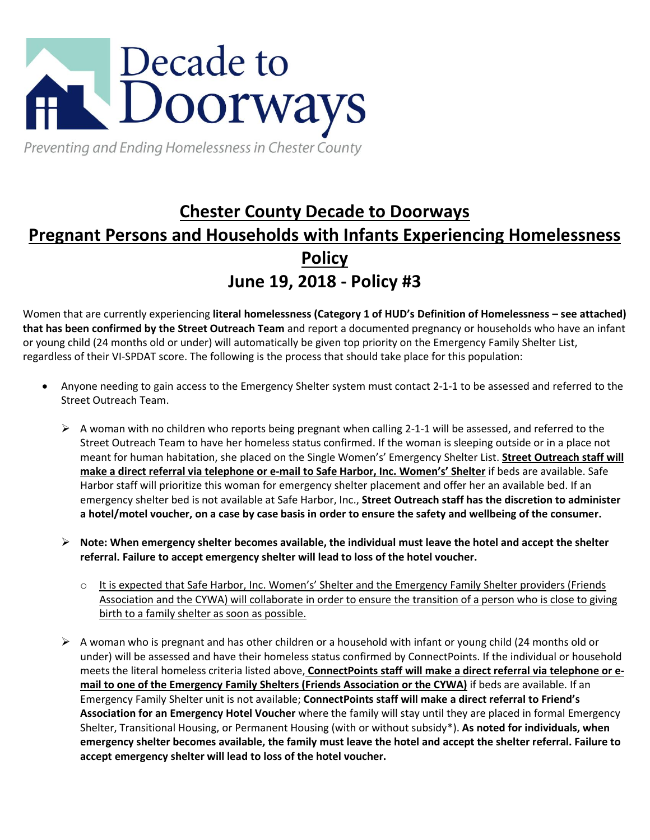

Preventing and Ending Homelessness in Chester County

## **Chester County Decade to Doorways Pregnant Persons and Households with Infants Experiencing Homelessness Policy June 19, 2018 - Policy #3**

Women that are currently experiencing **literal homelessness (Category 1 of HUD's Definition of Homelessness – see attached) that has been confirmed by the Street Outreach Team** and report a documented pregnancy or households who have an infant or young child (24 months old or under) will automatically be given top priority on the Emergency Family Shelter List, regardless of their VI-SPDAT score. The following is the process that should take place for this population:

- Anyone needing to gain access to the Emergency Shelter system must contact 2-1-1 to be assessed and referred to the Street Outreach Team.
	- $\triangleright$  A woman with no children who reports being pregnant when calling 2-1-1 will be assessed, and referred to the Street Outreach Team to have her homeless status confirmed. If the woman is sleeping outside or in a place not meant for human habitation, she placed on the Single Women's' Emergency Shelter List. **Street Outreach staff will make a direct referral via telephone or e-mail to Safe Harbor, Inc. Women's' Shelter** if beds are available. Safe Harbor staff will prioritize this woman for emergency shelter placement and offer her an available bed. If an emergency shelter bed is not available at Safe Harbor, Inc., **Street Outreach staff has the discretion to administer a hotel/motel voucher, on a case by case basis in order to ensure the safety and wellbeing of the consumer.**
	- **Note: When emergency shelter becomes available, the individual must leave the hotel and accept the shelter referral. Failure to accept emergency shelter will lead to loss of the hotel voucher.** 
		- o It is expected that Safe Harbor, Inc. Women's' Shelter and the Emergency Family Shelter providers (Friends Association and the CYWA) will collaborate in order to ensure the transition of a person who is close to giving birth to a family shelter as soon as possible.
	- $\triangleright$  A woman who is pregnant and has other children or a household with infant or young child (24 months old or under) will be assessed and have their homeless status confirmed by ConnectPoints. If the individual or household meets the literal homeless criteria listed above, **ConnectPoints staff will make a direct referral via telephone or email to one of the Emergency Family Shelters (Friends Association or the CYWA)** if beds are available. If an Emergency Family Shelter unit is not available; **ConnectPoints staff will make a direct referral to Friend's Association for an Emergency Hotel Voucher** where the family will stay until they are placed in formal Emergency Shelter, Transitional Housing, or Permanent Housing (with or without subsidy\*). **As noted for individuals, when emergency shelter becomes available, the family must leave the hotel and accept the shelter referral. Failure to accept emergency shelter will lead to loss of the hotel voucher.**